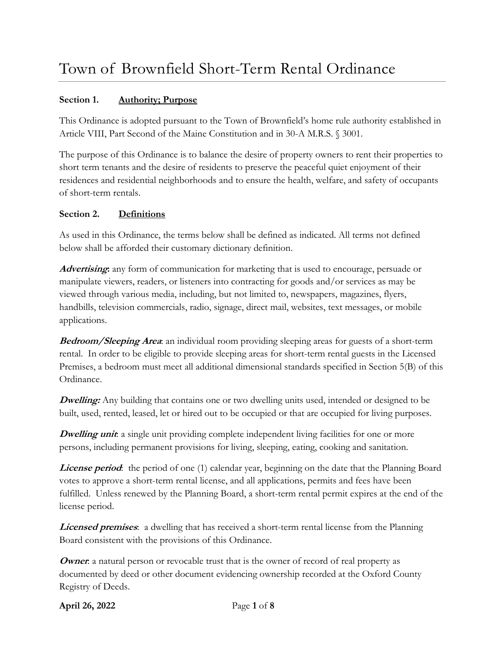## **Section 1. Authority; Purpose**

This Ordinance is adopted pursuant to the Town of Brownfield's home rule authority established in Article VIII, Part Second of the Maine Constitution and in 30-A M.R.S. § 3001.

The purpose of this Ordinance is to balance the desire of property owners to rent their properties to short term tenants and the desire of residents to preserve the peaceful quiet enjoyment of their residences and residential neighborhoods and to ensure the health, welfare, and safety of occupants of short-term rentals.

#### **Section 2. Definitions**

As used in this Ordinance, the terms below shall be defined as indicated. All terms not defined below shall be afforded their customary dictionary definition.

**Advertising:** any form of communication for marketing that is used to encourage, persuade or manipulate viewers, readers, or listeners into contracting for goods and/or services as may be viewed through various media, including, but not limited to, newspapers, magazines, flyers, handbills, television commercials, radio, signage, direct mail, websites, text messages, or mobile applications.

**Bedroom/Sleeping Area**: an individual room providing sleeping areas for guests of a short-term rental. In order to be eligible to provide sleeping areas for short-term rental guests in the Licensed Premises, a bedroom must meet all additional dimensional standards specified in Section 5(B) of this Ordinance.

**Dwelling:** Any building that contains one or two dwelling units used, intended or designed to be built, used, rented, leased, let or hired out to be occupied or that are occupied for living purposes.

**Dwelling unit**: a single unit providing complete independent living facilities for one or more persons, including permanent provisions for living, sleeping, eating, cooking and sanitation.

**License period**: the period of one (1) calendar year, beginning on the date that the Planning Board votes to approve a short-term rental license, and all applications, permits and fees have been fulfilled. Unless renewed by the Planning Board, a short-term rental permit expires at the end of the license period.

**Licensed premises**: a dwelling that has received a short-term rental license from the Planning Board consistent with the provisions of this Ordinance.

**Owner**: a natural person or revocable trust that is the owner of record of real property as documented by deed or other document evidencing ownership recorded at the Oxford County Registry of Deeds.

**April 26, 2022** Page **1** of **8**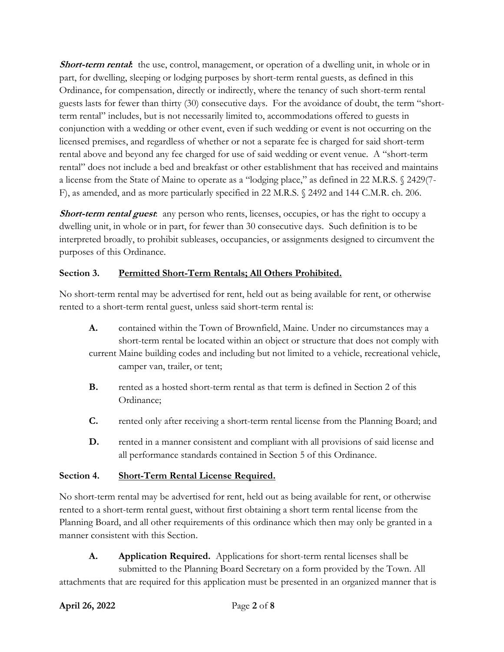**Short-term rental:** the use, control, management, or operation of a dwelling unit, in whole or in part, for dwelling, sleeping or lodging purposes by short-term rental guests, as defined in this Ordinance, for compensation, directly or indirectly, where the tenancy of such short-term rental guests lasts for fewer than thirty (30) consecutive days. For the avoidance of doubt, the term "shortterm rental" includes, but is not necessarily limited to, accommodations offered to guests in conjunction with a wedding or other event, even if such wedding or event is not occurring on the licensed premises, and regardless of whether or not a separate fee is charged for said short-term rental above and beyond any fee charged for use of said wedding or event venue. A "short-term rental" does not include a bed and breakfast or other establishment that has received and maintains a license from the State of Maine to operate as a "lodging place," as defined in 22 M.R.S. § 2429(7- F), as amended, and as more particularly specified in 22 M.R.S. § 2492 and 144 C.M.R. ch. 206.

**Short-term rental guest**: any person who rents, licenses, occupies, or has the right to occupy a dwelling unit, in whole or in part, for fewer than 30 consecutive days. Such definition is to be interpreted broadly, to prohibit subleases, occupancies, or assignments designed to circumvent the purposes of this Ordinance.

## **Section 3. Permitted Short-Term Rentals; All Others Prohibited.**

No short-term rental may be advertised for rent, held out as being available for rent, or otherwise rented to a short-term rental guest, unless said short-term rental is:

- **A.** contained within the Town of Brownfield, Maine. Under no circumstances may a short-term rental be located within an object or structure that does not comply with current Maine building codes and including but not limited to a vehicle, recreational vehicle, camper van, trailer, or tent;
- **B.** rented as a hosted short-term rental as that term is defined in Section 2 of this Ordinance;
- **C.** rented only after receiving a short-term rental license from the Planning Board; and
- **D.** rented in a manner consistent and compliant with all provisions of said license and all performance standards contained in Section 5 of this Ordinance.

### **Section 4. Short-Term Rental License Required.**

No short-term rental may be advertised for rent, held out as being available for rent, or otherwise rented to a short-term rental guest, without first obtaining a short term rental license from the Planning Board, and all other requirements of this ordinance which then may only be granted in a manner consistent with this Section.

**A. Application Required.** Applications for short-term rental licenses shall be submitted to the Planning Board Secretary on a form provided by the Town. All attachments that are required for this application must be presented in an organized manner that is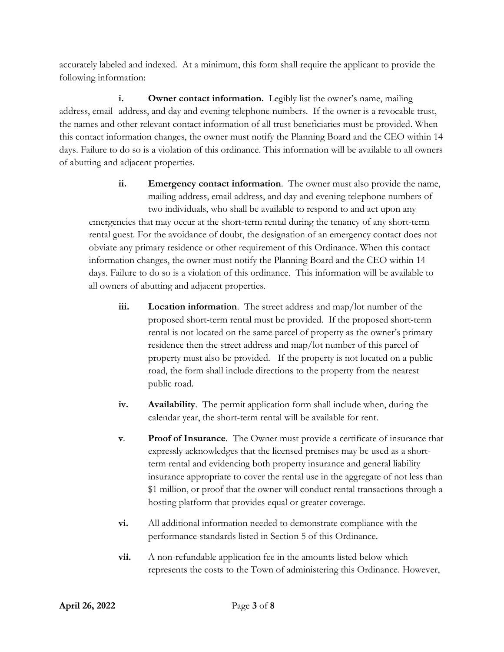accurately labeled and indexed. At a minimum, this form shall require the applicant to provide the following information:

**i.** Owner contact information. Legibly list the owner's name, mailing address, email address, and day and evening telephone numbers. If the owner is a revocable trust, the names and other relevant contact information of all trust beneficiaries must be provided. When this contact information changes, the owner must notify the Planning Board and the CEO within 14 days. Failure to do so is a violation of this ordinance. This information will be available to all owners of abutting and adjacent properties.

- **ii. Emergency contact information**. The owner must also provide the name, mailing address, email address, and day and evening telephone numbers of two individuals, who shall be available to respond to and act upon any emergencies that may occur at the short-term rental during the tenancy of any short-term rental guest. For the avoidance of doubt, the designation of an emergency contact does not obviate any primary residence or other requirement of this Ordinance. When this contact information changes, the owner must notify the Planning Board and the CEO within 14 days. Failure to do so is a violation of this ordinance. This information will be available to all owners of abutting and adjacent properties.
	- **iii. Location information**. The street address and map/lot number of the proposed short-term rental must be provided. If the proposed short-term rental is not located on the same parcel of property as the owner's primary residence then the street address and map/lot number of this parcel of property must also be provided. If the property is not located on a public road, the form shall include directions to the property from the nearest public road.
	- **iv. Availability**. The permit application form shall include when, during the calendar year, the short-term rental will be available for rent.
	- **v**. **Proof of Insurance**. The Owner must provide a certificate of insurance that expressly acknowledges that the licensed premises may be used as a shortterm rental and evidencing both property insurance and general liability insurance appropriate to cover the rental use in the aggregate of not less than \$1 million, or proof that the owner will conduct rental transactions through a hosting platform that provides equal or greater coverage.
	- **vi.** All additional information needed to demonstrate compliance with the performance standards listed in Section 5 of this Ordinance.
	- **vii.** A non-refundable application fee in the amounts listed below which represents the costs to the Town of administering this Ordinance. However,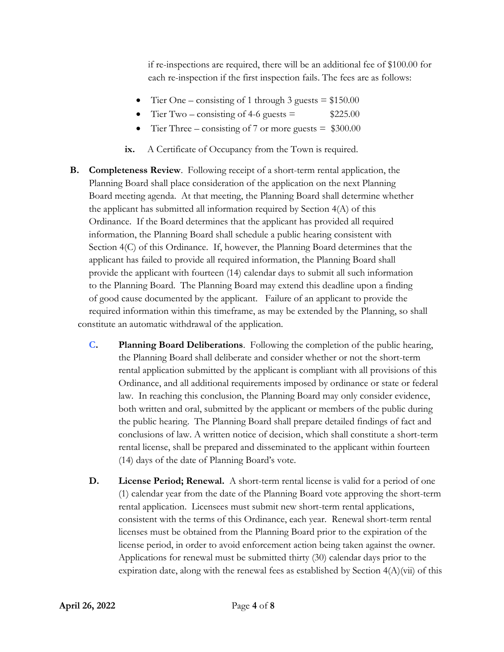if re-inspections are required, there will be an additional fee of \$100.00 for each re-inspection if the first inspection fails. The fees are as follows:

- Tier One consisting of 1 through 3 guests  $= $150.00$
- Tier Two consisting of 4-6 guests  $=$  \$225.00
- Tier Three consisting of 7 or more guests  $=$  \$300.00
- **ix.** A Certificate of Occupancy from the Town is required.
- **B. Completeness Review**. Following receipt of a short-term rental application, the Planning Board shall place consideration of the application on the next Planning Board meeting agenda. At that meeting, the Planning Board shall determine whether the applicant has submitted all information required by Section 4(A) of this Ordinance. If the Board determines that the applicant has provided all required information, the Planning Board shall schedule a public hearing consistent with Section 4(C) of this Ordinance. If, however, the Planning Board determines that the applicant has failed to provide all required information, the Planning Board shall provide the applicant with fourteen (14) calendar days to submit all such information to the Planning Board. The Planning Board may extend this deadline upon a finding of good cause documented by the applicant. Failure of an applicant to provide the required information within this timeframe, as may be extended by the Planning, so shall constitute an automatic withdrawal of the application.
	- **C. Planning Board Deliberations**. Following the completion of the public hearing, the Planning Board shall deliberate and consider whether or not the short-term rental application submitted by the applicant is compliant with all provisions of this Ordinance, and all additional requirements imposed by ordinance or state or federal law. In reaching this conclusion, the Planning Board may only consider evidence, both written and oral, submitted by the applicant or members of the public during the public hearing. The Planning Board shall prepare detailed findings of fact and conclusions of law. A written notice of decision, which shall constitute a short-term rental license, shall be prepared and disseminated to the applicant within fourteen (14) days of the date of Planning Board's vote.
	- **D. License Period; Renewal.** A short-term rental license is valid for a period of one (1) calendar year from the date of the Planning Board vote approving the short-term rental application. Licensees must submit new short-term rental applications, consistent with the terms of this Ordinance, each year. Renewal short-term rental licenses must be obtained from the Planning Board prior to the expiration of the license period, in order to avoid enforcement action being taken against the owner. Applications for renewal must be submitted thirty (30) calendar days prior to the expiration date, along with the renewal fees as established by Section  $4(A)(vi)$  of this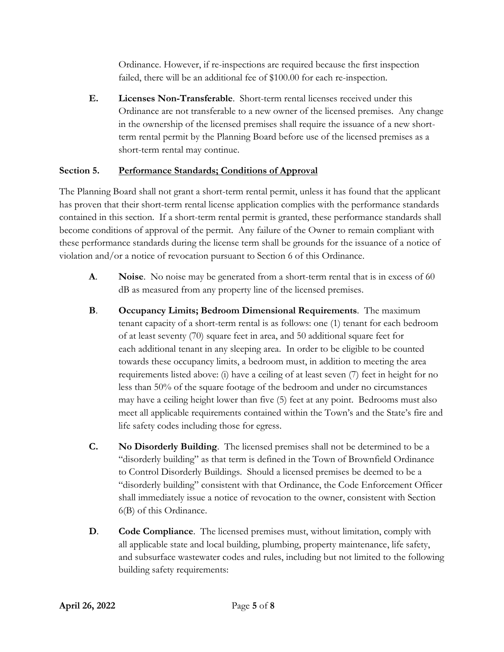Ordinance. However, if re-inspections are required because the first inspection failed, there will be an additional fee of \$100.00 for each re-inspection.

**E. Licenses Non-Transferable**. Short-term rental licenses received under this Ordinance are not transferable to a new owner of the licensed premises. Any change in the ownership of the licensed premises shall require the issuance of a new shortterm rental permit by the Planning Board before use of the licensed premises as a short-term rental may continue.

# **Section 5. Performance Standards; Conditions of Approval**

The Planning Board shall not grant a short-term rental permit, unless it has found that the applicant has proven that their short-term rental license application complies with the performance standards contained in this section. If a short-term rental permit is granted, these performance standards shall become conditions of approval of the permit. Any failure of the Owner to remain compliant with these performance standards during the license term shall be grounds for the issuance of a notice of violation and/or a notice of revocation pursuant to Section 6 of this Ordinance.

- **A**. **Noise**. No noise may be generated from a short-term rental that is in excess of 60 dB as measured from any property line of the licensed premises.
- **B**. **Occupancy Limits; Bedroom Dimensional Requirements**. The maximum tenant capacity of a short-term rental is as follows: one (1) tenant for each bedroom of at least seventy (70) square feet in area, and 50 additional square feet for each additional tenant in any sleeping area. In order to be eligible to be counted towards these occupancy limits, a bedroom must, in addition to meeting the area requirements listed above: (i) have a ceiling of at least seven (7) feet in height for no less than 50% of the square footage of the bedroom and under no circumstances may have a ceiling height lower than five (5) feet at any point. Bedrooms must also meet all applicable requirements contained within the Town's and the State's fire and life safety codes including those for egress.
- **C. No Disorderly Building**. The licensed premises shall not be determined to be a "disorderly building" as that term is defined in the Town of Brownfield Ordinance to Control Disorderly Buildings. Should a licensed premises be deemed to be a "disorderly building" consistent with that Ordinance, the Code Enforcement Officer shall immediately issue a notice of revocation to the owner, consistent with Section 6(B) of this Ordinance.
- **D**. **Code Compliance**. The licensed premises must, without limitation, comply with all applicable state and local building, plumbing, property maintenance, life safety, and subsurface wastewater codes and rules, including but not limited to the following building safety requirements: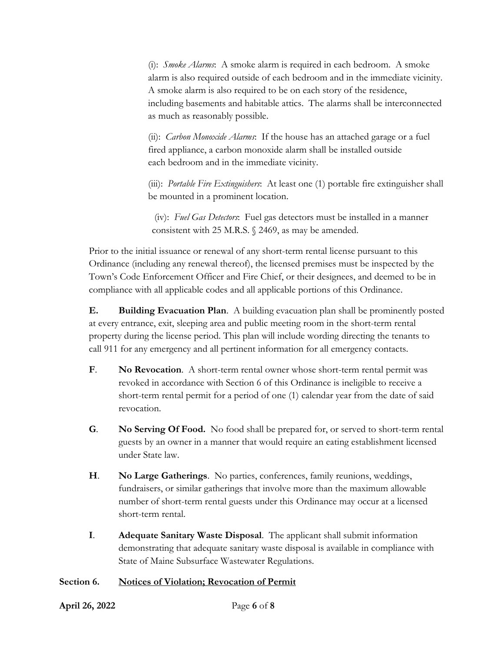(i): *Smoke Alarms*: A smoke alarm is required in each bedroom. A smoke alarm is also required outside of each bedroom and in the immediate vicinity. A smoke alarm is also required to be on each story of the residence, including basements and habitable attics. The alarms shall be interconnected as much as reasonably possible.

(ii): *Carbon Monoxide Alarms*: If the house has an attached garage or a fuel fired appliance, a carbon monoxide alarm shall be installed outside each bedroom and in the immediate vicinity.

(iii): *Portable Fire Extinguishers*: At least one (1) portable fire extinguisher shall be mounted in a prominent location.

(iv): *Fuel Gas Detectors*: Fuel gas detectors must be installed in a manner consistent with 25 M.R.S. § 2469, as may be amended.

Prior to the initial issuance or renewal of any short-term rental license pursuant to this Ordinance (including any renewal thereof), the licensed premises must be inspected by the Town's Code Enforcement Officer and Fire Chief, or their designees, and deemed to be in compliance with all applicable codes and all applicable portions of this Ordinance.

**E. Building Evacuation Plan**. A building evacuation plan shall be prominently posted at every entrance, exit, sleeping area and public meeting room in the short-term rental property during the license period. This plan will include wording directing the tenants to call 911 for any emergency and all pertinent information for all emergency contacts.

- **F**. **No Revocation**. A short-term rental owner whose short-term rental permit was revoked in accordance with Section 6 of this Ordinance is ineligible to receive a short-term rental permit for a period of one (1) calendar year from the date of said revocation.
- **G**. **No Serving Of Food.** No food shall be prepared for, or served to short-term rental guests by an owner in a manner that would require an eating establishment licensed under State law.
- **H**. **No Large Gatherings**. No parties, conferences, family reunions, weddings, fundraisers, or similar gatherings that involve more than the maximum allowable number of short-term rental guests under this Ordinance may occur at a licensed short-term rental.
- **I**. **Adequate Sanitary Waste Disposal**. The applicant shall submit information demonstrating that adequate sanitary waste disposal is available in compliance with State of Maine Subsurface Wastewater Regulations.

## **Section 6. Notices of Violation; Revocation of Permit**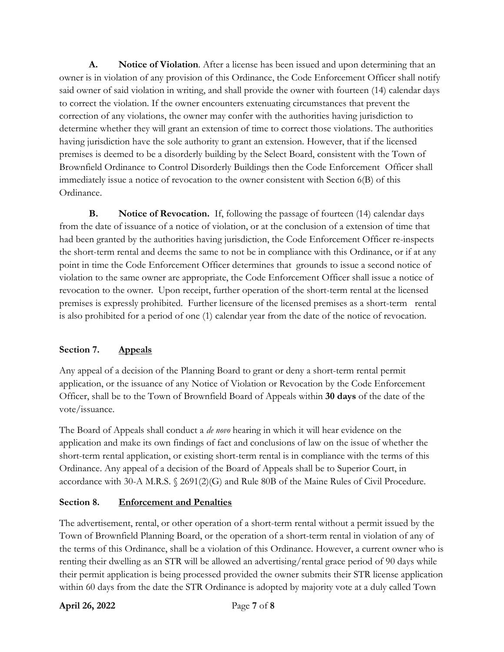**A. Notice of Violation**. After a license has been issued and upon determining that an owner is in violation of any provision of this Ordinance, the Code Enforcement Officer shall notify said owner of said violation in writing, and shall provide the owner with fourteen (14) calendar days to correct the violation. If the owner encounters extenuating circumstances that prevent the correction of any violations, the owner may confer with the authorities having jurisdiction to determine whether they will grant an extension of time to correct those violations. The authorities having jurisdiction have the sole authority to grant an extension. However, that if the licensed premises is deemed to be a disorderly building by the Select Board, consistent with the Town of Brownfield Ordinance to Control Disorderly Buildings then the Code Enforcement Officer shall immediately issue a notice of revocation to the owner consistent with Section 6(B) of this Ordinance.

**B. Notice of Revocation.** If, following the passage of fourteen (14) calendar days from the date of issuance of a notice of violation, or at the conclusion of a extension of time that had been granted by the authorities having jurisdiction, the Code Enforcement Officer re-inspects the short-term rental and deems the same to not be in compliance with this Ordinance, or if at any point in time the Code Enforcement Officer determines that grounds to issue a second notice of violation to the same owner are appropriate, the Code Enforcement Officer shall issue a notice of revocation to the owner. Upon receipt, further operation of the short-term rental at the licensed premises is expressly prohibited. Further licensure of the licensed premises as a short-term rental is also prohibited for a period of one (1) calendar year from the date of the notice of revocation.

## **Section 7. Appeals**

Any appeal of a decision of the Planning Board to grant or deny a short-term rental permit application, or the issuance of any Notice of Violation or Revocation by the Code Enforcement Officer, shall be to the Town of Brownfield Board of Appeals within **30 days** of the date of the vote/issuance.

The Board of Appeals shall conduct a *de novo* hearing in which it will hear evidence on the application and make its own findings of fact and conclusions of law on the issue of whether the short-term rental application, or existing short-term rental is in compliance with the terms of this Ordinance. Any appeal of a decision of the Board of Appeals shall be to Superior Court, in accordance with 30-A M.R.S. § 2691(2)(G) and Rule 80B of the Maine Rules of Civil Procedure.

### **Section 8. Enforcement and Penalties**

The advertisement, rental, or other operation of a short-term rental without a permit issued by the Town of Brownfield Planning Board, or the operation of a short-term rental in violation of any of the terms of this Ordinance, shall be a violation of this Ordinance. However, a current owner who is renting their dwelling as an STR will be allowed an advertising/rental grace period of 90 days while their permit application is being processed provided the owner submits their STR license application within 60 days from the date the STR Ordinance is adopted by majority vote at a duly called Town

### **April 26, 2022** Page **7** of **8**